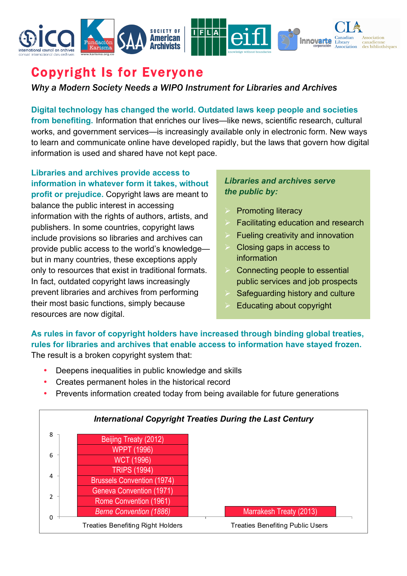

## Copyright Is for Everyone

*Why a Modern Society Needs a WIPO Instrument for Libraries and Archives*

**Digital technology has changed the world. Outdated laws keep people and societies from benefiting.** Information that enriches our lives—like news, scientific research, cultural works, and government services—is increasingly available only in electronic form. New ways to learn and communicate online have developed rapidly, but the laws that govern how digital information is used and shared have not kept pace.

**Libraries and archives provide access to information in whatever form it takes, without profit or prejudice.** Copyright laws are meant to balance the public interest in accessing information with the rights of authors, artists, and publishers. In some countries, copyright laws include provisions so libraries and archives can provide public access to the world's knowledge but in many countries, these exceptions apply only to resources that exist in traditional formats. In fact, outdated copyright laws increasingly prevent libraries and archives from performing their most basic functions, simply because resources are now digital.

## *Libraries and archives serve the public by:*

- **Promoting literacy**
- Facilitating education and research
- Fueling creativity and innovation
- Ø Closing gaps in access to information
- Connecting people to essential public services and job prospects
- Safeguarding history and culture
- Educating about copyright

## **As rules in favor of copyright holders have increased through binding global treaties, rules for libraries and archives that enable access to information have stayed frozen.** The result is a broken copyright system that:

- Deepens inequalities in public knowledge and skills
- Creates permanent holes in the historical record
- Prevents information created today from being available for future generations